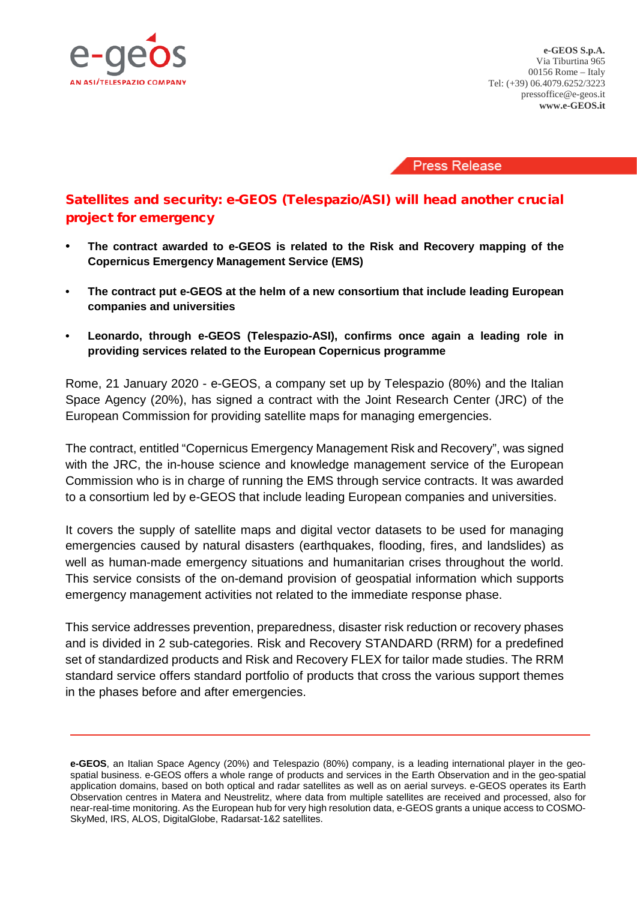

**e-GEOS S.p.A.** Via Tiburtina 965 00156 Rome – Italy Tel: (+39) 06.4079.6252/3223 pressoffice@e-geos.it **www.e-GEOS.it**

**Press Release** 

## Satellites and security: e-GEOS (Telespazio/ASI) will head another crucial project for emergency

- **The contract awarded to e-GEOS is related to the Risk and Recovery mapping of the Copernicus Emergency Management Service (EMS)**
- **• The contract put e-GEOS at the helm of a new consortium that include leading European companies and universities**
- **• Leonardo, through e-GEOS (Telespazio-ASI), confirms once again a leading role in providing services related to the European Copernicus programme**

Rome, 21 January 2020 - e-GEOS, a company set up by Telespazio (80%) and the Italian Space Agency (20%), has signed a contract with the Joint Research Center (JRC) of the European Commission for providing satellite maps for managing emergencies.

The contract, entitled "Copernicus Emergency Management Risk and Recovery", was signed with the JRC, the in-house science and knowledge management service of the European Commission who is in charge of running the EMS through service contracts. It was awarded to a consortium led by e-GEOS that include leading European companies and universities.

It covers the supply of satellite maps and digital vector datasets to be used for managing emergencies caused by natural disasters (earthquakes, flooding, fires, and landslides) as well as human-made emergency situations and humanitarian crises throughout the world. This service consists of the on-demand provision of geospatial information which supports emergency management activities not related to the immediate response phase.

This service addresses prevention, preparedness, disaster risk reduction or recovery phases and is divided in 2 sub-categories. Risk and Recovery STANDARD (RRM) for a predefined set of standardized products and Risk and Recovery FLEX for tailor made studies. The RRM standard service offers standard portfolio of products that cross the various support themes in the phases before and after emergencies.

**e-GEOS**, an Italian Space Agency (20%) and Telespazio (80%) company, is a leading international player in the geospatial business. e-GEOS offers a whole range of products and services in the Earth Observation and in the geo-spatial application domains, based on both optical and radar satellites as well as on aerial surveys. e-GEOS operates its Earth Observation centres in Matera and Neustrelitz, where data from multiple satellites are received and processed, also for near-real-time monitoring. As the European hub for very high resolution data, e-GEOS grants a unique access to COSMO-SkyMed, IRS, ALOS, DigitalGlobe, Radarsat-1&2 satellites.